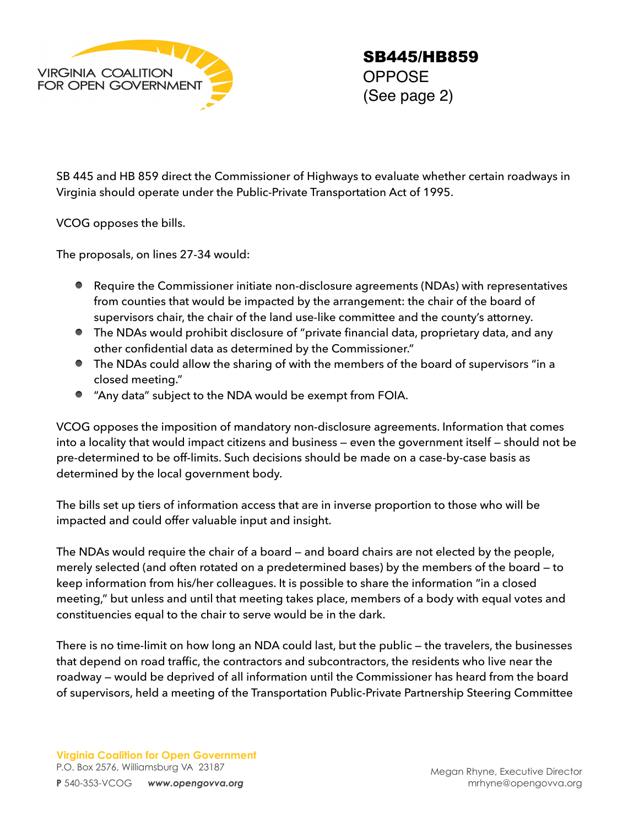

SB 445 and HB 859 direct the Commissioner of Highways to evaluate whether certain roadways in Virginia should operate under the Public-Private Transportation Act of 1995.

VCOG opposes the bills.

The proposals, on lines 27-34 would:

- Require the Commissioner initiate non-disclosure agreements (NDAs) with representatives from counties that would be impacted by the arrangement: the chair of the board of supervisors chair, the chair of the land use-like committee and the county's attorney.
- The NDAs would prohibit disclosure of "private financial data, proprietary data, and any other confidential data as determined by the Commissioner."
- The NDAs could allow the sharing of with the members of the board of supervisors "in a closed meeting."
- "Any data" subject to the NDA would be exempt from FOIA.

VCOG opposes the imposition of mandatory non-disclosure agreements. Information that comes into a locality that would impact citizens and business — even the government itself — should not be pre-determined to be off-limits. Such decisions should be made on a case-by-case basis as determined by the local government body.

The bills set up tiers of information access that are in inverse proportion to those who will be impacted and could offer valuable input and insight.

The NDAs would require the chair of a board — and board chairs are not elected by the people, merely selected (and often rotated on a predetermined bases) by the members of the board — to keep information from his/her colleagues. It is possible to share the information "in a closed meeting," but unless and until that meeting takes place, members of a body with equal votes and constituencies equal to the chair to serve would be in the dark.

There is no time-limit on how long an NDA could last, but the public — the travelers, the businesses that depend on road traffic, the contractors and subcontractors, the residents who live near the roadway — would be deprived of all information until the Commissioner has heard from the board of supervisors, held a meeting of the Transportation Public-Private Partnership Steering Committee